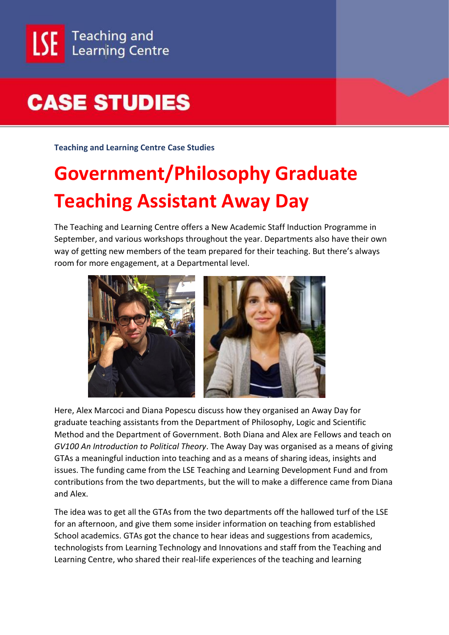## **CASE STUDIES**

**Teaching and Learning Centre Case Studies**

## **Government/Philosophy Graduate Teaching Assistant Away Day**

The Teaching and Learning Centre offers a New Academic Staff Induction Programme in September, and various workshops throughout the year. Departments also have their own way of getting new members of the team prepared for their teaching. But there's always room for more engagement, at a Departmental level.



Here, Alex Marcoci and Diana Popescu discuss how they organised an Away Day for graduate teaching assistants from the Department of Philosophy, Logic and Scientific Method and the Department of Government. Both Diana and Alex are Fellows and teach on *GV100 An Introduction to Political Theory*. The Away Day was organised as a means of giving GTAs a meaningful induction into teaching and as a means of sharing ideas, insights and issues. The funding came from the LSE Teaching and Learning Development Fund and from contributions from the two departments, but the will to make a difference came from Diana and Alex.

The idea was to get all the GTAs from the two departments off the hallowed turf of the LSE for an afternoon, and give them some insider information on teaching from established School academics. GTAs got the chance to hear ideas and suggestions from academics, technologists from Learning Technology and Innovations and staff from the Teaching and Learning Centre, who shared their real-life experiences of the teaching and learning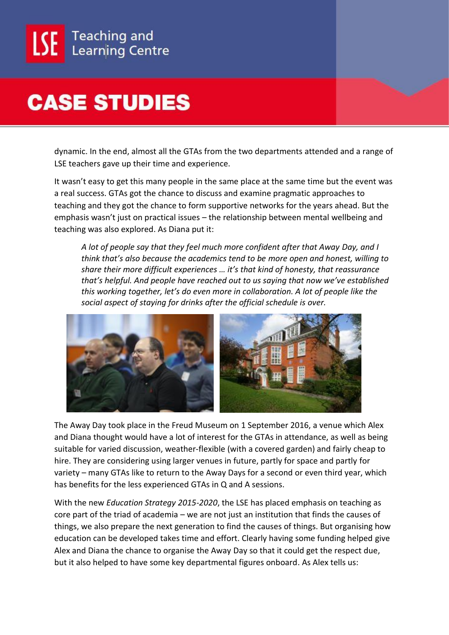

## **CASE STUDIES**

dynamic. In the end, almost all the GTAs from the two departments attended and a range of LSE teachers gave up their time and experience.

It wasn't easy to get this many people in the same place at the same time but the event was a real success. GTAs got the chance to discuss and examine pragmatic approaches to teaching and they got the chance to form supportive networks for the years ahead. But the emphasis wasn't just on practical issues – the relationship between mental wellbeing and teaching was also explored. As Diana put it:

*A lot of people say that they feel much more confident after that Away Day, and I think that's also because the academics tend to be more open and honest, willing to share their more difficult experiences … it's that kind of honesty, that reassurance that's helpful. And people have reached out to us saying that now we've established this working together, let's do even more in collaboration. A lot of people like the social aspect of staying for drinks after the official schedule is over.*



The Away Day took place in the Freud Museum on 1 September 2016, a venue which Alex and Diana thought would have a lot of interest for the GTAs in attendance, as well as being suitable for varied discussion, weather-flexible (with a covered garden) and fairly cheap to hire. They are considering using larger venues in future, partly for space and partly for variety – many GTAs like to return to the Away Days for a second or even third year, which has benefits for the less experienced GTAs in Q and A sessions.

With the new *Education Strategy 2015-2020*, the LSE has placed emphasis on teaching as core part of the triad of academia – we are not just an institution that finds the causes of things, we also prepare the next generation to find the causes of things. But organising how education can be developed takes time and effort. Clearly having some funding helped give Alex and Diana the chance to organise the Away Day so that it could get the respect due, but it also helped to have some key departmental figures onboard. As Alex tells us: